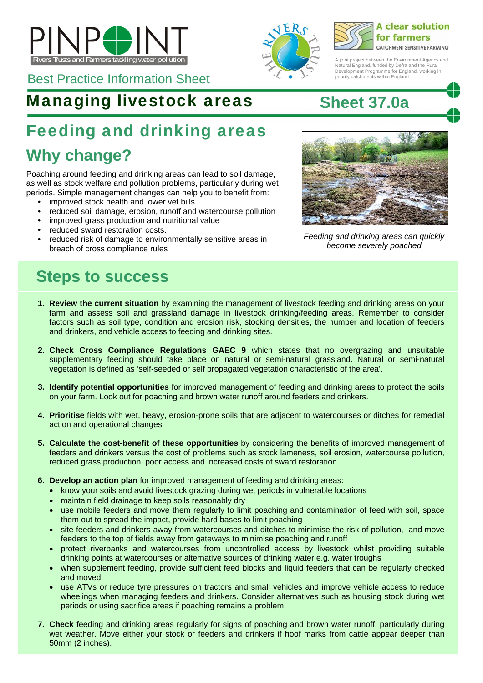





A joint project between the Environment Agency and Natural England, funded by Defra and the Rural Development Programme for England, working in priority catchments within England.

Best Practice Information Sheet

### Managing livestock areas **Sheet 37.0a**

# Feeding and drinking areas

## **Why change?**

Poaching around feeding and drinking areas can lead to soil damage, as well as stock welfare and pollution problems, particularly during wet periods. Simple management changes can help you to benefit from:

- improved stock health and lower vet bills
- reduced soil damage, erosion, runoff and watercourse pollution
- improved grass production and nutritional value
- reduced sward restoration costs.
- reduced risk of damage to environmentally sensitive areas in breach of cross compliance rules



*Feeding and drinking areas can quickly become severely poached* 

## **Steps to success**

- **1. Review the current situation** by examining the management of livestock feeding and drinking areas on your farm and assess soil and grassland damage in livestock drinking/feeding areas. Remember to consider factors such as soil type, condition and erosion risk, stocking densities, the number and location of feeders and drinkers, and vehicle access to feeding and drinking sites.
- **2. Check Cross Compliance Regulations GAEC 9** which states that no overgrazing and unsuitable supplementary feeding should take place on natural or semi-natural grassland. Natural or semi-natural vegetation is defined as 'self-seeded or self propagated vegetation characteristic of the area'.
- **3. Identify potential opportunities** for improved management of feeding and drinking areas to protect the soils on your farm. Look out for poaching and brown water runoff around feeders and drinkers.
- **4. Prioritise** fields with wet, heavy, erosion-prone soils that are adjacent to watercourses or ditches for remedial action and operational changes
- **5. Calculate the cost-benefit of these opportunities** by considering the benefits of improved management of feeders and drinkers versus the cost of problems such as stock lameness, soil erosion, watercourse pollution, reduced grass production, poor access and increased costs of sward restoration.
- **6. Develop an action plan** for improved management of feeding and drinking areas:
	- know your soils and avoid livestock grazing during wet periods in vulnerable locations
	- maintain field drainage to keep soils reasonably dry
	- use mobile feeders and move them regularly to limit poaching and contamination of feed with soil, space them out to spread the impact, provide hard bases to limit poaching
	- site feeders and drinkers away from watercourses and ditches to minimise the risk of pollution, and move feeders to the top of fields away from gateways to minimise poaching and runoff
	- protect riverbanks and watercourses from uncontrolled access by livestock whilst providing suitable drinking points at watercourses or alternative sources of drinking water e.g. water troughs
	- when supplement feeding, provide sufficient feed blocks and liquid feeders that can be regularly checked and moved
	- use ATVs or reduce tyre pressures on tractors and small vehicles and improve vehicle access to reduce wheelings when managing feeders and drinkers. Consider alternatives such as housing stock during wet periods or using sacrifice areas if poaching remains a problem.
- **7. Check** feeding and drinking areas regularly for signs of poaching and brown water runoff, particularly during wet weather. Move either your stock or feeders and drinkers if hoof marks from cattle appear deeper than 50mm (2 inches).